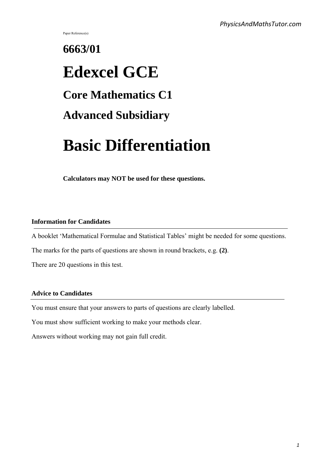Paper Reference(s)

# **6663/01 Edexcel GCE Core Mathematics C1 Advanced Subsidiary**

# **Basic Differentiation**

**Calculators may NOT be used for these questions.**

#### **Information for Candidates**

A booklet 'Mathematical Formulae and Statistical Tables' might be needed for some questions.

The marks for the parts of questions are shown in round brackets, e.g. **(2)**.

There are 20 questions in this test.

#### **Advice to Candidates**

You must ensure that your answers to parts of questions are clearly labelled.

You must show sufficient working to make your methods clear.

Answers without working may not gain full credit.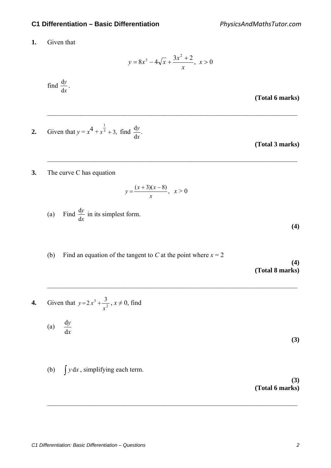**1.** Given that

$$
y = 8x^3 - 4\sqrt{x} + \frac{3x^2 + 2}{x}, \ x > 0
$$

 $\mathcal{L}_\text{max} = \frac{1}{2} \sum_{i=1}^{n} \frac{1}{2} \sum_{i=1}^{n} \frac{1}{2} \sum_{i=1}^{n} \frac{1}{2} \sum_{i=1}^{n} \frac{1}{2} \sum_{i=1}^{n} \frac{1}{2} \sum_{i=1}^{n} \frac{1}{2} \sum_{i=1}^{n} \frac{1}{2} \sum_{i=1}^{n} \frac{1}{2} \sum_{i=1}^{n} \frac{1}{2} \sum_{i=1}^{n} \frac{1}{2} \sum_{i=1}^{n} \frac{1}{2} \sum_{i=1}^{n} \frac{1$ 

 $\mathcal{L}_\text{max} = \frac{1}{2} \sum_{i=1}^{n} \frac{1}{2} \sum_{i=1}^{n} \frac{1}{2} \sum_{i=1}^{n} \frac{1}{2} \sum_{i=1}^{n} \frac{1}{2} \sum_{i=1}^{n} \frac{1}{2} \sum_{i=1}^{n} \frac{1}{2} \sum_{i=1}^{n} \frac{1}{2} \sum_{i=1}^{n} \frac{1}{2} \sum_{i=1}^{n} \frac{1}{2} \sum_{i=1}^{n} \frac{1}{2} \sum_{i=1}^{n} \frac{1}{2} \sum_{i=1}^{n} \frac{1$ 

 $\mathcal{L}_\text{max} = \frac{1}{2} \sum_{i=1}^{n} \frac{1}{2} \sum_{i=1}^{n} \frac{1}{2} \sum_{i=1}^{n} \frac{1}{2} \sum_{i=1}^{n} \frac{1}{2} \sum_{i=1}^{n} \frac{1}{2} \sum_{i=1}^{n} \frac{1}{2} \sum_{i=1}^{n} \frac{1}{2} \sum_{i=1}^{n} \frac{1}{2} \sum_{i=1}^{n} \frac{1}{2} \sum_{i=1}^{n} \frac{1}{2} \sum_{i=1}^{n} \frac{1}{2} \sum_{i=1}^{n} \frac{1$ 

 $\mathcal{L}_\text{max} = \frac{1}{2} \sum_{i=1}^{n} \frac{1}{2} \sum_{i=1}^{n} \frac{1}{2} \sum_{i=1}^{n} \frac{1}{2} \sum_{i=1}^{n} \frac{1}{2} \sum_{i=1}^{n} \frac{1}{2} \sum_{i=1}^{n} \frac{1}{2} \sum_{i=1}^{n} \frac{1}{2} \sum_{i=1}^{n} \frac{1}{2} \sum_{i=1}^{n} \frac{1}{2} \sum_{i=1}^{n} \frac{1}{2} \sum_{i=1}^{n} \frac{1}{2} \sum_{i=1}^{n} \frac{1$ 

 find *x y* d  $\frac{dy}{dx}$ .

**(Total 6 marks)**

2. Given that 
$$
y = x^4 + x^{\frac{1}{3}} + 3
$$
, find  $\frac{dy}{dx}$ .

**(Total 3 marks)**

**3.** The curve C has equation

$$
y = \frac{(x+3)(x-8)}{x}, \ \ x > 0
$$

- (a) Find *x y* d  $\frac{dy}{dx}$  in its simplest form.
- (b) Find an equation of the tangent to *C* at the point where  $x = 2$

**(4)**

**(4)**

**(Total 8 marks)**

4. Given that 
$$
y=2x^3 + \frac{3}{x^2}
$$
,  $x \ne 0$ , find

(a) 
$$
\frac{dy}{dx}
$$

**(3)** 

(b)  $\int y \, dx$ , simplifying each term.

**(3) (Total 6 marks)**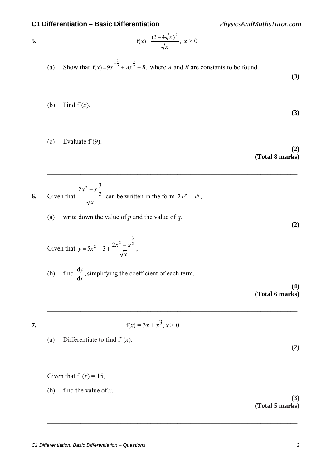*PhysicsAndMathsTutor.com*

5. 
$$
f(x) = \frac{(3-4\sqrt{x})^2}{\sqrt{x}}, x > 0
$$

(a) Show that  $f(x)=9x^2 + Ax^2 + B$ , 1  $-\frac{1}{2}$  $(x)=9x^{-2}+Ax^{2}+B$ , where *A* and *B* are constants to be found.

*x*

 $\mathcal{L}_\text{max} = \frac{1}{2} \sum_{i=1}^{n} \frac{1}{2} \sum_{i=1}^{n} \frac{1}{2} \sum_{i=1}^{n} \frac{1}{2} \sum_{i=1}^{n} \frac{1}{2} \sum_{i=1}^{n} \frac{1}{2} \sum_{i=1}^{n} \frac{1}{2} \sum_{i=1}^{n} \frac{1}{2} \sum_{i=1}^{n} \frac{1}{2} \sum_{i=1}^{n} \frac{1}{2} \sum_{i=1}^{n} \frac{1}{2} \sum_{i=1}^{n} \frac{1}{2} \sum_{i=1}^{n} \frac{1$ 

 $\mathcal{L}_\text{max} = \frac{1}{2} \sum_{i=1}^{n} \frac{1}{2} \sum_{i=1}^{n} \frac{1}{2} \sum_{i=1}^{n} \frac{1}{2} \sum_{i=1}^{n} \frac{1}{2} \sum_{i=1}^{n} \frac{1}{2} \sum_{i=1}^{n} \frac{1}{2} \sum_{i=1}^{n} \frac{1}{2} \sum_{i=1}^{n} \frac{1}{2} \sum_{i=1}^{n} \frac{1}{2} \sum_{i=1}^{n} \frac{1}{2} \sum_{i=1}^{n} \frac{1}{2} \sum_{i=1}^{n} \frac{1$ 

 $\mathcal{L}_\text{max} = \frac{1}{2} \sum_{i=1}^{n} \frac{1}{2} \sum_{i=1}^{n} \frac{1}{2} \sum_{i=1}^{n} \frac{1}{2} \sum_{i=1}^{n} \frac{1}{2} \sum_{i=1}^{n} \frac{1}{2} \sum_{i=1}^{n} \frac{1}{2} \sum_{i=1}^{n} \frac{1}{2} \sum_{i=1}^{n} \frac{1}{2} \sum_{i=1}^{n} \frac{1}{2} \sum_{i=1}^{n} \frac{1}{2} \sum_{i=1}^{n} \frac{1}{2} \sum_{i=1}^{n} \frac{1$ 

(b) Find 
$$
f'(x)
$$
.

(c) Evaluate  $f'(9)$ .

**(2) (Total 8 marks)**

**(3)** 

**(3)** 

**(2)** 

**6.** Given that *x*  $x^2 - x$ 2  $2x^2 - x\frac{3}{2}$ can be written in the form  $2x^p - x^q$ ,

(a) write down the value of *p* and the value of *q*.

Given that 
$$
y = 5x^2 - 3 + \frac{2x^2 - x^{\frac{3}{2}}}{\sqrt{x}}
$$
,

(b) find  $\frac{dy}{dx}$ , *x*  $\frac{y}{x}$ , simplifying the coefficient of each term.

**(4) (Total 6 marks)**

**7.**  $f(x) = 3x + x^3, x > 0.$ 

(a) Differentiate to find f′ (*x*).

**(2)** 

Given that  $f'(x) = 15$ ,

(b) find the value of *x*.

**(3) (Total 5 marks)**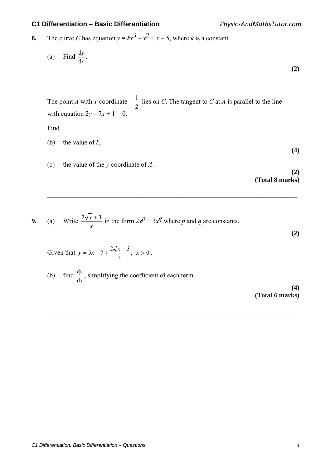*PhysicsAndMathsTutor.com*

**8.** The curve *C* has equation  $y = kx^3 - x^2 + x - 5$ , where *k* is a constant.

(a) Find 
$$
\frac{dy}{dx}
$$
. (2)

 The point *A* with *x*-coordinate 2  $-\frac{1}{2}$  lies on *C*. The tangent to *C* at *A* is parallel to the line with equation  $2y - 7x + 1 = 0$ .

 $\mathcal{L}_\text{max} = \frac{1}{2} \sum_{i=1}^{n} \frac{1}{2} \sum_{i=1}^{n} \frac{1}{2} \sum_{i=1}^{n} \frac{1}{2} \sum_{i=1}^{n} \frac{1}{2} \sum_{i=1}^{n} \frac{1}{2} \sum_{i=1}^{n} \frac{1}{2} \sum_{i=1}^{n} \frac{1}{2} \sum_{i=1}^{n} \frac{1}{2} \sum_{i=1}^{n} \frac{1}{2} \sum_{i=1}^{n} \frac{1}{2} \sum_{i=1}^{n} \frac{1}{2} \sum_{i=1}^{n} \frac{1$ 

 $\mathcal{L}_\text{max} = \frac{1}{2} \sum_{i=1}^{n} \frac{1}{2} \sum_{i=1}^{n} \frac{1}{2} \sum_{i=1}^{n} \frac{1}{2} \sum_{i=1}^{n} \frac{1}{2} \sum_{i=1}^{n} \frac{1}{2} \sum_{i=1}^{n} \frac{1}{2} \sum_{i=1}^{n} \frac{1}{2} \sum_{i=1}^{n} \frac{1}{2} \sum_{i=1}^{n} \frac{1}{2} \sum_{i=1}^{n} \frac{1}{2} \sum_{i=1}^{n} \frac{1}{2} \sum_{i=1}^{n} \frac{1$ 

Find

- (b) the value of *k*,
- (c) the value of the *y*-coordinate of *A*.

**(2) (Total 8 marks)**

**(4)** 

**(2)** 

9. (a) Write 
$$
\frac{2\sqrt{x}+3}{x}
$$
 in the form  $2x^p + 3x^q$  where *p* and *q* are constants.

Given that 
$$
y = 5x - 7 + \frac{2\sqrt{x} + 3}{x}, x > 0,
$$

(b) find *x y* d  $\frac{dy}{dx}$ , simplifying the coefficient of each term.

> **(4) (Total 6 marks)**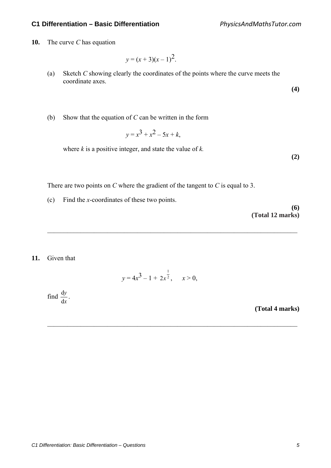*PhysicsAndMathsTutor.com*

**10.** The curve *C* has equation

$$
y = (x + 3)(x - 1)^2.
$$

(a) Sketch *C* showing clearly the coordinates of the points where the curve meets the coordinate axes.

**(4)** 

(b) Show that the equation of *C* can be written in the form

$$
y = x^3 + x^2 - 5x + k,
$$

where *k* is a positive integer, and state the value of *k.*

**(2)** 

There are two points on *C* where the gradient of the tangent to *C* is equal to 3.

(c) Find the *x*-coordinates of these two points.

**(6) (Total 12 marks)**

#### **11.** Given that

$$
y = 4x^3 - 1 + 2x^{\frac{1}{2}}, \quad x > 0,
$$

 $\mathcal{L}_\text{max} = \frac{1}{2} \sum_{i=1}^{n} \frac{1}{2} \sum_{i=1}^{n} \frac{1}{2} \sum_{i=1}^{n} \frac{1}{2} \sum_{i=1}^{n} \frac{1}{2} \sum_{i=1}^{n} \frac{1}{2} \sum_{i=1}^{n} \frac{1}{2} \sum_{i=1}^{n} \frac{1}{2} \sum_{i=1}^{n} \frac{1}{2} \sum_{i=1}^{n} \frac{1}{2} \sum_{i=1}^{n} \frac{1}{2} \sum_{i=1}^{n} \frac{1}{2} \sum_{i=1}^{n} \frac{1$ 

 $\mathcal{L}_\text{max} = \frac{1}{2} \sum_{i=1}^{n} \frac{1}{2} \sum_{i=1}^{n} \frac{1}{2} \sum_{i=1}^{n} \frac{1}{2} \sum_{i=1}^{n} \frac{1}{2} \sum_{i=1}^{n} \frac{1}{2} \sum_{i=1}^{n} \frac{1}{2} \sum_{i=1}^{n} \frac{1}{2} \sum_{i=1}^{n} \frac{1}{2} \sum_{i=1}^{n} \frac{1}{2} \sum_{i=1}^{n} \frac{1}{2} \sum_{i=1}^{n} \frac{1}{2} \sum_{i=1}^{n} \frac{1$ 

 find *x y* d  $\frac{dy}{dx}$ .

**(Total 4 marks)**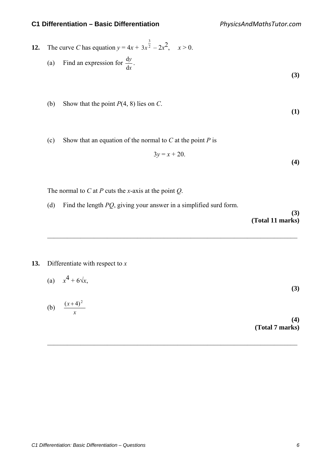12. The curve C has equation 
$$
y = 4x + 3x^{\frac{3}{2}} - 2x^2
$$
,  $x > 0$ .  
\n(a) Find an expression for  $\frac{dy}{dx}$ . (3)

- (b) Show that the point *P*(4, 8) lies on *C*.
- (c) Show that an equation of the normal to *C* at the point *P* is

$$
3y = x + 20.
$$

The normal to *C* at *P* cuts the *x*-axis at the point *Q*.

(d) Find the length *PQ*, giving your answer in a simplified surd form.

**(3) (Total 11 marks)** 

**(1)** 

**(4)** 

**13.** Differentiate with respect to *x* 

*x*

(a) 
$$
x^4 + 6\sqrt{x}
$$
,  
(b)  $\frac{(x+4)^2}{}$  (3)

 $\mathcal{L}_\text{max} = \frac{1}{2} \sum_{i=1}^{n} \frac{1}{2} \sum_{i=1}^{n} \frac{1}{2} \sum_{i=1}^{n} \frac{1}{2} \sum_{i=1}^{n} \frac{1}{2} \sum_{i=1}^{n} \frac{1}{2} \sum_{i=1}^{n} \frac{1}{2} \sum_{i=1}^{n} \frac{1}{2} \sum_{i=1}^{n} \frac{1}{2} \sum_{i=1}^{n} \frac{1}{2} \sum_{i=1}^{n} \frac{1}{2} \sum_{i=1}^{n} \frac{1}{2} \sum_{i=1}^{n} \frac{1$ 

 $\mathcal{L}_\text{max} = \frac{1}{2} \sum_{i=1}^{n} \frac{1}{2} \sum_{i=1}^{n} \frac{1}{2} \sum_{i=1}^{n} \frac{1}{2} \sum_{i=1}^{n} \frac{1}{2} \sum_{i=1}^{n} \frac{1}{2} \sum_{i=1}^{n} \frac{1}{2} \sum_{i=1}^{n} \frac{1}{2} \sum_{i=1}^{n} \frac{1}{2} \sum_{i=1}^{n} \frac{1}{2} \sum_{i=1}^{n} \frac{1}{2} \sum_{i=1}^{n} \frac{1}{2} \sum_{i=1}^{n} \frac{1$ 

**(4) (Total 7 marks)**

*C1 Differentiation: Basic Differentiation – Questions 6*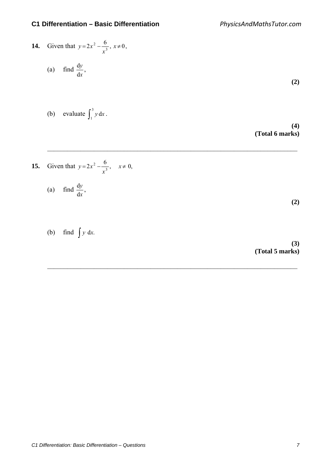14. Given that 
$$
y=2x^2 - \frac{6}{x^3}
$$
,  $x \ne 0$ ,  
\n(a) find  $\frac{dy}{dx}$ ,  
\n(b) evaluate  $\int_1^3 y dx$ .  
\n(4) (Total 6 marks)

 $\mathcal{L}_\text{max} = \frac{1}{2} \sum_{i=1}^{n} \frac{1}{2} \sum_{i=1}^{n} \frac{1}{2} \sum_{i=1}^{n} \frac{1}{2} \sum_{i=1}^{n} \frac{1}{2} \sum_{i=1}^{n} \frac{1}{2} \sum_{i=1}^{n} \frac{1}{2} \sum_{i=1}^{n} \frac{1}{2} \sum_{i=1}^{n} \frac{1}{2} \sum_{i=1}^{n} \frac{1}{2} \sum_{i=1}^{n} \frac{1}{2} \sum_{i=1}^{n} \frac{1}{2} \sum_{i=1}^{n} \frac{1$ 

 $\mathcal{L}_\text{max} = \frac{1}{2} \sum_{i=1}^{n} \frac{1}{2} \sum_{i=1}^{n} \frac{1}{2} \sum_{i=1}^{n} \frac{1}{2} \sum_{i=1}^{n} \frac{1}{2} \sum_{i=1}^{n} \frac{1}{2} \sum_{i=1}^{n} \frac{1}{2} \sum_{i=1}^{n} \frac{1}{2} \sum_{i=1}^{n} \frac{1}{2} \sum_{i=1}^{n} \frac{1}{2} \sum_{i=1}^{n} \frac{1}{2} \sum_{i=1}^{n} \frac{1}{2} \sum_{i=1}^{n} \frac{1$ 

**15.** Given that 
$$
y = 2x^2 - \frac{6}{x^3}
$$
,  $x \neq 0$ ,

(a) find 
$$
\frac{dy}{dx}
$$
,

(b) find  $\int y \, dx$ .

**(3) (Total 5 marks)**

**(2)**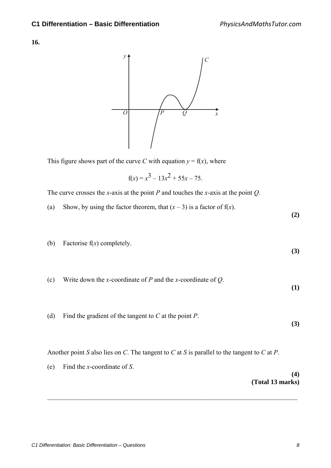**16.**



This figure shows part of the curve *C* with equation  $y = f(x)$ , where

$$
f(x) = x^3 - 13x^2 + 55x - 75.
$$

The curve crosses the *x*-axis at the point *P* and touches the *x*-axis at the point *Q*.

(a) Show, by using the factor theorem, that  $(x - 3)$  is a factor of  $f(x)$ .

**(2)** 

(b) Factorise f(*x*) completely.

**(3)** 

**(1)** 

**(3)** 

- (c) Write down the *x*-coordinate of *P* and the *x*-coordinate of *Q*.
- (d) Find the gradient of the tangent to *C* at the point *P*.

Another point *S* also lies on *C*. The tangent to *C* at *S* is parallel to the tangent to *C* at *P*.

 $\mathcal{L}_\text{max} = \frac{1}{2} \sum_{i=1}^{n} \frac{1}{2} \sum_{i=1}^{n} \frac{1}{2} \sum_{i=1}^{n} \frac{1}{2} \sum_{i=1}^{n} \frac{1}{2} \sum_{i=1}^{n} \frac{1}{2} \sum_{i=1}^{n} \frac{1}{2} \sum_{i=1}^{n} \frac{1}{2} \sum_{i=1}^{n} \frac{1}{2} \sum_{i=1}^{n} \frac{1}{2} \sum_{i=1}^{n} \frac{1}{2} \sum_{i=1}^{n} \frac{1}{2} \sum_{i=1}^{n} \frac{1$ 

(e) Find the *x*-coordinate of *S*. **(4) (Total 13 marks)**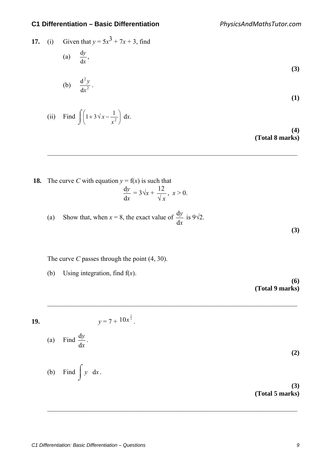$(i)$  Find  $\int$ 

17. (i) Given that 
$$
y = 5x^3 + 7x + 3
$$
, find  
\n(a)  $\frac{dy}{dx}$ ,  
\n(b)  $\frac{d^2y}{dx^2}$ .  
\n(i) Find  $\int (1+3\sqrt{x} - \frac{1}{x^2}) dx$ .

 $\mathcal{L}_\text{max} = \frac{1}{2} \sum_{i=1}^{n} \frac{1}{2} \sum_{i=1}^{n} \frac{1}{2} \sum_{i=1}^{n} \frac{1}{2} \sum_{i=1}^{n} \frac{1}{2} \sum_{i=1}^{n} \frac{1}{2} \sum_{i=1}^{n} \frac{1}{2} \sum_{i=1}^{n} \frac{1}{2} \sum_{i=1}^{n} \frac{1}{2} \sum_{i=1}^{n} \frac{1}{2} \sum_{i=1}^{n} \frac{1}{2} \sum_{i=1}^{n} \frac{1}{2} \sum_{i=1}^{n} \frac{1$ 

**(4) (Total 8 marks)**

**18.** The curve *C* with equation  $y = f(x)$  is such that *x y*  $\frac{\mathrm{d}y}{\mathrm{d}x} = 3\sqrt{x} + \frac{12}{\sqrt{x}}, \ x > 0.$ 

J

*x*  $x - \frac{1}{2}$  dx.

(a) Show that, when  $x = 8$ , the exact value of *x y* d  $\frac{dy}{dx}$  is 9 $\sqrt{2}$ .

 $\mathcal{L}_\text{max} = \frac{1}{2} \sum_{i=1}^{n} \frac{1}{2} \sum_{i=1}^{n} \frac{1}{2} \sum_{i=1}^{n} \frac{1}{2} \sum_{i=1}^{n} \frac{1}{2} \sum_{i=1}^{n} \frac{1}{2} \sum_{i=1}^{n} \frac{1}{2} \sum_{i=1}^{n} \frac{1}{2} \sum_{i=1}^{n} \frac{1}{2} \sum_{i=1}^{n} \frac{1}{2} \sum_{i=1}^{n} \frac{1}{2} \sum_{i=1}^{n} \frac{1}{2} \sum_{i=1}^{n} \frac{1$ 

 $\mathcal{L}_\text{max} = \frac{1}{2} \sum_{i=1}^{n} \frac{1}{2} \sum_{i=1}^{n} \frac{1}{2} \sum_{i=1}^{n} \frac{1}{2} \sum_{i=1}^{n} \frac{1}{2} \sum_{i=1}^{n} \frac{1}{2} \sum_{i=1}^{n} \frac{1}{2} \sum_{i=1}^{n} \frac{1}{2} \sum_{i=1}^{n} \frac{1}{2} \sum_{i=1}^{n} \frac{1}{2} \sum_{i=1}^{n} \frac{1}{2} \sum_{i=1}^{n} \frac{1}{2} \sum_{i=1}^{n} \frac{1$ 

The curve *C* passes through the point (4, 30).

(b) Using integration, find f(*x*).

**(6) (Total 9 marks)**

**(3)** 

$$
y = 7 + 10x^{\frac{3}{2}}.
$$

(a) Find 
$$
\frac{dy}{dx}
$$
.

(b) Find 
$$
\int y \, dx
$$
.

**(3) (Total 5 marks)**

**(2)**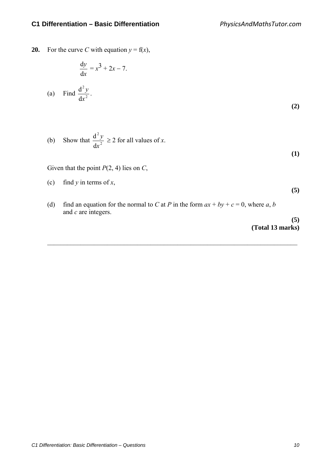**20.** For the curve *C* with equation  $y = f(x)$ ,

$$
\frac{dy}{dx} = x^3 + 2x - 7.
$$
\n(a) Find 
$$
\frac{d^2y}{dx^2}.
$$
\n(2)

(b) Show that 
$$
\frac{d^2 y}{dx^2} \ge 2
$$
 for all values of *x*.

**(1)** 

Given that the point *P*(2, 4) lies on *C*,

(c) find *y* in terms of *x*,

- **(5)**
- (d) find an equation for the normal to *C* at *P* in the form  $ax + by + c = 0$ , where *a*, *b* and *c* are integers.

 $\mathcal{L}_\text{max} = \frac{1}{2} \sum_{i=1}^{n} \frac{1}{2} \sum_{i=1}^{n} \frac{1}{2} \sum_{i=1}^{n} \frac{1}{2} \sum_{i=1}^{n} \frac{1}{2} \sum_{i=1}^{n} \frac{1}{2} \sum_{i=1}^{n} \frac{1}{2} \sum_{i=1}^{n} \frac{1}{2} \sum_{i=1}^{n} \frac{1}{2} \sum_{i=1}^{n} \frac{1}{2} \sum_{i=1}^{n} \frac{1}{2} \sum_{i=1}^{n} \frac{1}{2} \sum_{i=1}^{n} \frac{1$ 

**(5) (Total 13 marks)**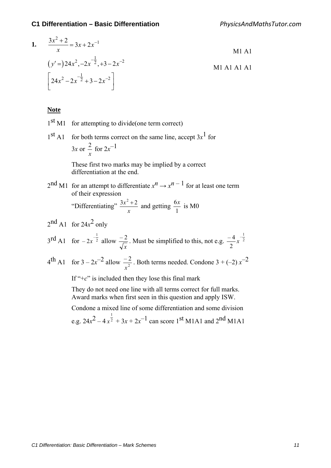1. 
$$
\frac{3x^2 + 2}{x} = 3x + 2x^{-1}
$$
  
\n
$$
(y' =) 24x^2, -2x^{-\frac{1}{2}}, +3 - 2x^{-2}
$$
  
\n
$$
\left[ 24x^2 - 2x^{-\frac{1}{2}} + 3 - 2x^{-2} \right]
$$
  
\nM1 A1 A1 A1 A1

#### **Note**

- $1<sup>st</sup>$  M1 for attempting to divide(one term correct)
- $1<sup>st</sup>$  A1 for both terms correct on the same line, accept  $3x<sup>1</sup>$  for 3*x* or *x*  $\frac{2}{-}$  for  $2x^{-1}$

 These first two marks may be implied by a correct differentiation at the end.

 $2^{nd}$  M1 for an attempt to differentiate  $x^n \rightarrow x^{n-1}$  for at least one term of their expression

> "Differentiating"  $\frac{3x^2+2}{x}$  and getting  $\frac{6x}{1}$  is M0

$$
2^{\text{nd}} \text{A1}
$$
 for  $24x^2$  only

$$
3^{\text{rd}} \text{A1}
$$
 for  $-2x^{\frac{1}{2}}$  allow  $\frac{-2}{\sqrt{x}}$ . Must be simplified to this, not e.g.  $\frac{-4}{2}x^{\frac{1}{2}}$ 

$$
4^{\text{th}} \text{ A1} \quad \text{for } 3 - 2x^{-2} \text{ allow } \frac{-2}{x^2}. \text{ Both terms needed. Condone } 3 + (-2) x^{-2}
$$

If " $+c$ " is included then they lose this final mark

 They do not need one line with all terms correct for full marks. Award marks when first seen in this question and apply ISW.

 Condone a mixed line of some differentiation and some division e.g.  $24x^2 - 4x^{\frac{1}{2}} + 3x + 2x^{-1}$  can score 1<sup>st</sup> M1A1 and 2<sup>nd</sup> M1A1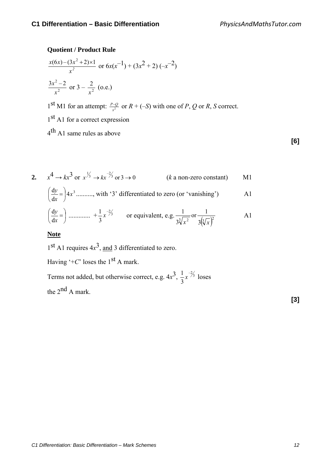# **Quotient / Product Rule**

$$
\frac{x(6x) - (3x^2 + 2) \times 1}{x^2}
$$
 or  $6x(x^{-1}) + (3x^2 + 2) (-x^{-2})$   

$$
\frac{3x^2 - 2}{x^2}
$$
 or  $3 - \frac{2}{x^2}$  (o.e.)

1<sup>st</sup> M1 for an attempt:  $\frac{P-Q}{x^2}$  or  $R + (-S)$  with one of *P*, *Q* or *R*, *S* correct.

1<sup>st</sup> A1 for a correct expression

4th A1 same rules as above

**[6]**

2.  $x^4 \to kx^3$  or  $x^{\frac{1}{3}} \to kx^{-\frac{2}{3}}$  or  $3 \to 0$  $(k \text{ a non-zero constant})$  M1  $4x^3$ d  $\frac{dy}{dx} = 4x$ *x*  $\frac{y}{z}$  =  $\Big)$ J  $\left(\frac{dy}{dx}\right)$ J  $\left(\frac{dy}{dx}\right) = 14x^3$  ........., with '3' differentiated to zero (or 'vanishing') A1  $\overline{\phantom{a}}$ J  $\left(\frac{dy}{dx}\right)$  $\setminus$  $\frac{dy}{dx} =$ *x y* d  $\frac{dy}{dx} = \frac{1}{2} \dots + \frac{1}{2} x^{-2/3}$ 3  $\frac{1}{2}x^{-\frac{2}{3}}$  or equivalent, e.g.  $\sqrt[3]{x^2}$  3  $(\sqrt[3]{x})^2$ or  $\frac{1}{\sqrt{2}}$ 3 1  $x^2$  3( $\sqrt[3]{x}$ A1

**Note**

 $1<sup>st</sup>$  A1 requires  $4x<sup>3</sup>$ , and 3 differentiated to zero.

Having  $\pm C$ ' loses the 1<sup>st</sup> A mark.

Terms not added, but otherwise correct, e.g.  $4x^3$ ,  $\frac{1}{2}x^{-3/3}$ 3  $\frac{1}{2}x^{-\frac{2}{3}}$  loses the  $2^{nd}$  A mark.

**[3]**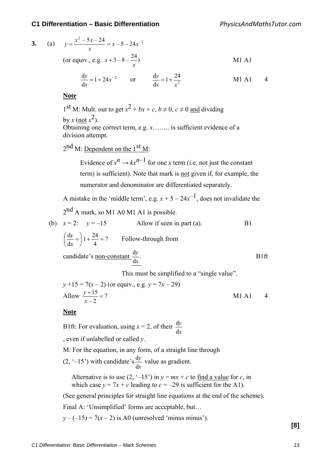3. (a) 
$$
y = \frac{x^2 - 5x - 24}{x} = x - 5 - 24x^{-1}
$$
  
\n(or equiv., e.g.  $x + 3 - 8 - \frac{24}{x}$ )  
\n $\frac{dy}{dx} = 1 + 24x^{-2}$  or  $\frac{dy}{dx} = 1 + \frac{24}{x^2}$  M1 A1 4

**Note**

1<sup>st</sup> M: Mult. out to get  $x^2 + bx + c$ ,  $b \ne 0$ ,  $c \ne 0$  and dividing by  $x$  (not  $x^2$ ). Obtaining one correct term, e.g. *x*…….. is sufficient evidence of a division attempt.

 $2<sup>nd</sup>$  M: Dependent on the  $1<sup>st</sup>$  M:

Evidence of  $x^n \to kx^{n-1}$  for one *x* term (i.e. not just the constant term) is sufficient). Note that mark is not given if, for example, the numerator and denominator are differentiated separately.

A mistake in the 'middle term', e.g.  $x + 5 - 24x^{-1}$ , does not invalidate the 2<sup>nd</sup> A mark, so M1 A0 M1 A1 is possible.

(b) 
$$
x = 2
$$
:  $y = -15$  Allow if seen in part (a).  
\n $\left(\frac{dy}{dx}\right)1 + \frac{24}{4} = 7$  Follow-through from  
\ncandidate's non-constant  $\frac{dy}{dx}$ .  
\n**B1**

This must be simplified to a "single value".

$$
y + 15 = 7(x - 2)
$$
 (or equiv., e.g.  $y = 7x - 29$ )  
Allow  $\frac{y + 15}{x - 2} = 7$  M1 A1 4

#### **Note**

B1ft: For evaluation, using  $x = 2$ , of their *x y* d d , even if unlabelled or called *y*.

M: For the equation, in any form, of a straight line through

 $(2, -15)$  with candidate's *x y* d  $\frac{dy}{dx}$  value as gradient.

Alternative is to use  $(2, -15)$  in  $y = mx + c$  to find a value for *c*, in which case  $y = 7x + c$  leading to  $c = -29$  is sufficient for the A1).

(See general principles for straight line equations at the end of the scheme).

Final A: 'Unsimplified' forms are acceptable, but…

 $y - (-15) = 7(x - 2)$  is A0 (unresolved 'minus minus').

**[8]**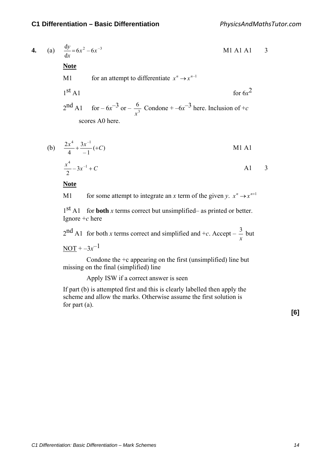3

4. (a) 
$$
\frac{dy}{dx} = 6x^2 - 6x^{-3}
$$
  
\n**Note**  
\nM1 A1 A1 3  
\n**Note**  
\n1<sup>st</sup> A1 for an attempt to differentiate  $x^n \rightarrow x^{n-1}$   
\n1<sup>st</sup> A1 for  $-6x^{-3}$  or  $-\frac{6}{x^3}$  Condone  $+ -6x^{-3}$  here. Inclusion of  $+c$   
\nsores A0 here.

(b) 
$$
\frac{2x^4}{4} + \frac{3x^{-1}}{-1}(+C)
$$
   
 
$$
\frac{x^4}{2} - 3x^{-1} + C
$$
   
   
 A1

**Note**

M1 for some attempt to integrate an *x* term of the given *y*.  $x^n \rightarrow x^{n+1}$ 

 $1<sup>st</sup>$  A1 for **both** *x* terms correct but unsimplified– as printed or better. Ignore +*c* here

 $2<sup>nd</sup>$  A1 for both *x* terms correct and simplified and +*c*. Accept –  $\frac{3}{x}$  but

 $NOT + -3x^{-1}$ 

Condone the  $+c$  appearing on the first (unsimplified) line but missing on the final (simplified) line

Apply ISW if a correct answer is seen

If part (b) is attempted first and this is clearly labelled then apply the scheme and allow the marks. Otherwise assume the first solution is for part (a).

**[6]**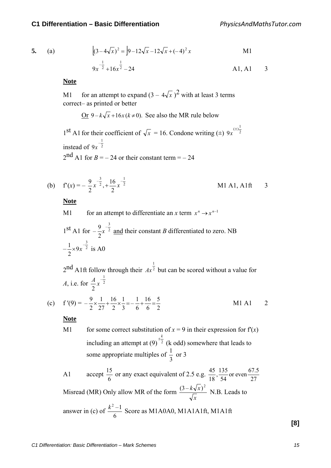5. (a) 
$$
\left[ (3-4\sqrt{x})^2 = \left| 9-12\sqrt{x}-12\sqrt{x}+(-4)^2 x \right| \right]
$$
 M1  
9x <sup>$\frac{1}{2}$</sup>  +16x <sup>$\frac{1}{2}$</sup>  -24 A1, A1 3

#### **Note**

M1 for an attempt to expand  $(3 - 4\sqrt{x})^2$  with at least 3 terms correct– as printed or better

Or 
$$
9-k\sqrt{x+16x(k\neq0)}
$$
. See also the MR rule below

1<sup>st</sup> A1 for their coefficient of  $\sqrt{x} = 16$ . Condone writing (±)  $9x^{(\pm)}^{\frac{1}{2}}$ instead of  $9x<sup>2</sup>$  $\frac{1}{2}$ 9*x*  $2<sup>nd</sup>$  A1 for *B* = – 24 or their constant term = – 24

(b) 
$$
f'(x) = -\frac{9}{2}x^{-\frac{3}{2}}, +\frac{16}{2}x^{-\frac{1}{2}}
$$
 M1 A1, A1ft 3

**Note**

M1 for an attempt to differentiate an x term 
$$
x^n \rightarrow x^{n-1}
$$
  
\n1<sup>st</sup> A1 for  $-\frac{9}{2}x^{-\frac{3}{2}}$  and their constant *B* differentiated to zero. NB  
\n $-\frac{1}{2} \times 9x^{-\frac{3}{2}}$  is A0

 $2<sup>nd</sup>$  A1ft follow through their  $Ax^{\frac{1}{2}}$  $Ax^2$  but can be scored without a value for *A*, i.e. for  $\frac{4}{2}x^2$  $-\frac{1}{2}$ 2  $\frac{A}{2}x$ 

(c) 
$$
f'(9) = -\frac{9}{2} \times \frac{1}{27} + \frac{16}{2} \times \frac{1}{3} = -\frac{1}{6} + \frac{16}{6} = \frac{5}{2}
$$
 M1 A1 2

#### **Note**

M1 for some correct substitution of  $x = 9$  in their expression for  $f'(x)$ including an attempt at  $(9)^{-2}$  $\pm \frac{k}{2}$  (k odd) somewhere that leads to some appropriate multiples of  $\frac{1}{3}$  or 3

A1 accept  $\frac{15}{6}$  or any exact equivalent of 2.5 e.g.  $\frac{45}{18}, \frac{135}{54}$  or even  $\frac{67.5}{27}$ 54  $\frac{45}{18}, \frac{135}{54}$ Misread (MR) Only allow MR of the form *x*  $\frac{(3-k\sqrt{x})^2}{\sqrt{x}}$  N.B. Leads to answer in (c) of  $\frac{k^2-1}{6}$  Score as M1A0A0, M1A1A1ft, M1A1ft

**[8]**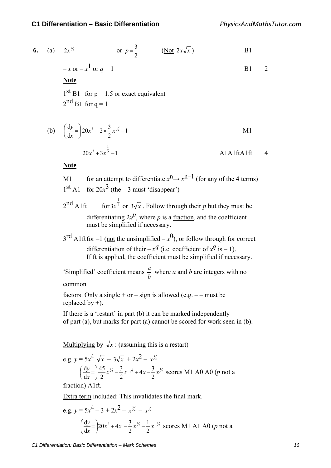6. (a) 
$$
2x^{\frac{3}{2}}
$$
 or  $p = \frac{3}{2}$  (Not  $2x\sqrt{x}$ )  
\n $-x$  or  $-x^1$  or  $q = 1$   
\n**Note**  
\n1<sup>st</sup> B1 for p = 1.5 or exact equivalent  
\n2<sup>nd</sup> B1 for q = 1

(b) 
$$
\left(\frac{dy}{dx}\right) = 20x^3 + 2 \times \frac{3}{2}x^{\frac{1}{2}} - 1
$$
 M1  
20x<sup>3</sup> + 3x <sup>$\frac{1}{2}$</sup>  - 1 A1A1ftA1ft 4

**Note**

M1 for an attempt to differentiate  $x^n \rightarrow x^{n-1}$  (for any of the 4 terms)  $1<sup>st</sup>$  A1 for  $20x<sup>3</sup>$  (the – 3 must 'disappear')

 $2^{nd}$  A1ft 1  $3x^2$  or  $3\sqrt{x}$ . Follow through their *p* but they must be differentiating  $2x^p$ , where *p* is a <u>fraction</u>, and the coefficient must be simplified if necessary.

 $3^{\text{rd}}$  A1ft for -1 (not the unsimplified  $-x^0$ ), or follow through for correct differentiation of their –  $x^q$  (i.e. coefficient of  $x^q$  is – 1). If ft is applied, the coefficient must be simplified if necessary.

'Simplified' coefficient means  $\frac{a}{b}$  where *a* and *b* are integers with no common

factors. Only a single + or – sign is allowed (e.g. – – must be replaced by  $+$ ).

If there is a 'restart' in part (b) it can be marked independently of part (a), but marks for part (a) cannot be scored for work seen in (b).

Multiplying by  $\sqrt{x}$ : (assuming this is a restart)

e.g. 
$$
y = 5x^4 \sqrt{x} - 3\sqrt{x} + 2x^2 - x^{3/2}
$$
  
\n $\left(\frac{dy}{dx}\right) = \frac{45}{2}x^{7/2} - \frac{3}{2}x^{-7/2} + 4x - \frac{3}{2}x^{7/2}$  scores M1 A0 A0 (*p* not a fraction) A16

fraction) A1ft.

Extra term included: This invalidates the final mark.

e.g. 
$$
y = 5x^4 - 3 + 2x^2 - x^{3/2} - x^{1/2}
$$
  
\n
$$
\left(\frac{dy}{dx}\right) = 20x^3 + 4x - \frac{3}{2}x^{1/2} - \frac{1}{2}x^{-1/2}
$$
 scores M1 A1 A0 (*p* not a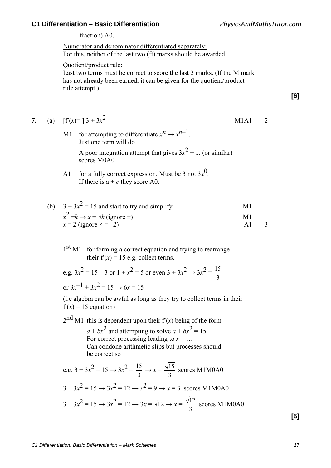fraction) A0.

Numerator and denominator differentiated separately: For this, neither of the last two (ft) marks should be awarded.

Quotient/product rule:

Last two terms must be correct to score the last 2 marks. (If the M mark has not already been earned, it can be given for the quotient/product rule attempt.)

**[6]**

7. (a) 
$$
[f'(x)=]3+3x^2
$$
 M1A1 2

- M1 for attempting to differentiate  $x^n \rightarrow x^{n-1}$ . Just one term will do. A poor integration attempt that gives  $3x^2 + ...$  (or similar) scores M0A0
- A1 for a fully correct expression. Must be 3 not  $3x^0$ . If there is  $a + c$  they score A0.

| (b) $3 + 3x^2 = 15$ and start to try and simplify  | M1 |  |
|----------------------------------------------------|----|--|
| $x^2 = k \rightarrow x = \sqrt{k}$ (ignore $\pm$ ) | M1 |  |
| $x = 2$ (ignore $x = -2$ )                         | A1 |  |

 $1<sup>st</sup>$  M1 for forming a correct equation and trying to rearrange their  $f'(x) = 15$  e.g. collect terms.

e.g.  $3x^2 = 15 - 3$  or  $1 + x^2 = 5$  or even  $3 + 3x^2 \rightarrow 3x^2 =$ 3 15 or  $3x^{-1} + 3x^2 = 15 \rightarrow 6x = 15$ 

(i.e algebra can be awful as long as they try to collect terms in their  $f'(x) = 15$  equation)

 $2<sup>nd</sup>$  M1 this is dependent upon their  $f'(x)$  being of the form  $a + bx^2$  and attempting to solve  $a + bx^2 = 15$ For correct processing leading to  $x = ...$ Can condone arithmetic slips but processes should be correct so

e.g. 
$$
3 + 3x^2 = 15 \rightarrow 3x^2 = \frac{15}{3} \rightarrow x = \frac{\sqrt{15}}{3}
$$
 scores M1M0A0  
\n $3 + 3x^2 = 15 \rightarrow 3x^2 = 12 \rightarrow x^2 = 9 \rightarrow x = 3$  scores M1M0A0  
\n $3 + 3x^2 = 15 \rightarrow 3x^2 = 12 \rightarrow 3x = \sqrt{12} \rightarrow x = \frac{\sqrt{12}}{3}$  scores M1M0A0

**[5]**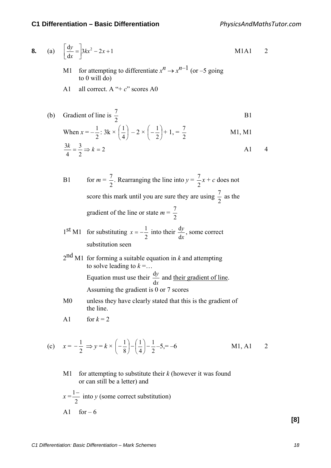8. (a) 
$$
\left[\frac{dy}{dx} = \right] 3kx^2 - 2x + 1
$$
 M1A1 2

- M1 for attempting to differentiate  $x^n \rightarrow x^{n-1}$  (or –5 going to 0 will do)
- A1 all correct. A "+ *c*" scores A0

(b) Gradient of line is 
$$
\frac{7}{2}
$$
  
\nWhen  $x = -\frac{1}{2}$ :  $3k \times (\frac{1}{4}) - 2 \times (-\frac{1}{2}) + 1 = \frac{7}{2}$   
\n $\frac{3k}{4} = \frac{3}{2} \Rightarrow k = 2$   
\n**11**, **M1**  
\n**M2**  
\n**M3**  
\n**M4**

B1 for  $m = \frac{7}{2}$ . Rearranging the line into  $y =$ 2  $\frac{7}{2}x + c$  does not score this mark until you are sure they are using  $\frac{7}{2}$  as the gradient of the line or state *m* = 2 7

1<sup>st</sup> M1 for substituting 
$$
x = -\frac{1}{2}
$$
 into their  $\frac{dy}{dx}$ , some correct  
substitution seen

 $2<sup>nd</sup>$  M1 for forming a suitable equation in *k* and attempting to solve leading to  $k = \dots$ Equation must use their *x y* d  $\frac{dy}{dx}$  and their gradient of line.

Assuming the gradient is 0 or 7 scores

- M0 unless they have clearly stated that this is the gradient of the line.
- A1 for  $k = 2$

(c) 
$$
x = -\frac{1}{2} \Rightarrow y = k \times \left(-\frac{1}{8}\right) - \left(\frac{1}{4}\right) - \frac{1}{2} - 5 = -6
$$
 M1, A1 2

M1 for attempting to substitute their *k* (however it was found or can still be a letter) and

$$
x = \frac{1 - 2}{2}
$$
 into y (some correct substitution)  
A1 for -6

**[8]**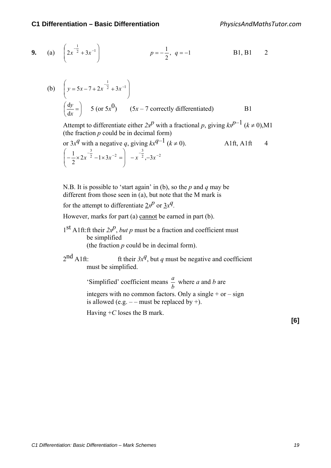9. (a) 
$$
\left(2x^{-\frac{1}{2}} + 3x^{-1}\right)
$$
  $p = -\frac{1}{2}, q = -1$  B1, B1 2

(b) 
$$
\left(y = 5x - 7 + 2x^{-\frac{1}{2}} + 3x^{-1}\right)
$$
  
 $\left(\frac{dy}{dx} = \right)$  5 (or  $5x^{0}$ ) (5x – 7 correctly differentiated)

Attempt to differentiate either  $2x^p$  with a fractional p, giving  $kx^{p-1}$  ( $k \ne 0$ ),M1 (the fraction *p* could be in decimal form)

or 
$$
3x^q
$$
 with a negative q, giving  $kx^{q-1}$  ( $k \ne 0$ ). A1ft, A1ft 4  
\n $\left(-\frac{1}{2} \times 2x^{-\frac{3}{2}} - 1 \times 3x^{-2}\right) - x^{-\frac{3}{2}}, -3x^{-2}$ 

N.B. It is possible to 'start again' in (b), so the *p* and *q* may be different from those seen in (a), but note that the M mark is

for the attempt to differentiate  $2x^p$  or  $3x^q$ .

However, marks for part (a) cannot be earned in part (b).

- 1<sup>st</sup> A1ft:ft their  $2x^p$ , *but p* must be a fraction and coefficient must be simplified (the fraction *p* could be in decimal form).
- $2<sup>nd</sup>$  A1ft: ft their  $3x<sup>q</sup>$ , but *q* must be negative and coefficient must be simplified.

'Simplified' coefficient means  $\frac{a}{b}$  where *a* and *b* are integers with no common factors. Only a single  $+$  or  $-$  sign is allowed (e.g.  $-$  – must be replaced by +).

Having +*C* loses the B mark.

**[6]**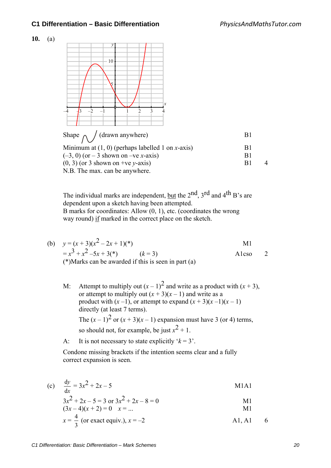



The individual marks are independent, but the  $2<sup>nd</sup>$ ,  $3<sup>rd</sup>$  and  $4<sup>th</sup>$  B's are dependent upon a sketch having been attempted. B marks for coordinates: Allow (0, 1), etc. (coordinates the wrong way round) if marked in the correct place on the sketch.

(b)  $y = (x+3)(x^2-2x+1)(*)$  M1  $= x^{3} + x^{2} - 5x + 3(*)$  (*k* = 3) A1cso 2 (\*)Marks can be awarded if this is seen in part (a)

M: Attempt to multiply out  $(x - 1)^2$  and write as a product with  $(x + 3)$ , or attempt to multiply out  $(x + 3)(x - 1)$  and write as a product with  $(x-1)$ , or attempt to expand  $(x + 3)(x-1)(x-1)$ directly (at least 7 terms). The  $(x-1)^2$  or  $(x+3)(x-1)$  expansion must have 3 (or 4) terms, so should not, for example, be just  $x^2 + 1$ .

A: It is not necessary to state explicitly  $k = 3$ .

 Condone missing brackets if the intention seems clear and a fully correct expansion is seen.

(c) 
$$
\frac{dy}{dx} = 3x^2 + 2x - 5
$$
 M1A1

$$
3x2 + 2x - 5 = 3 \text{ or } 3x2 + 2x - 8 = 0
$$

$$
(3x-4)(x+2) = 0 \t x = ... \t M1
$$

$$
x = \frac{4}{3}
$$
 (or exact equiv.),  $x = -2$  A1, A1 6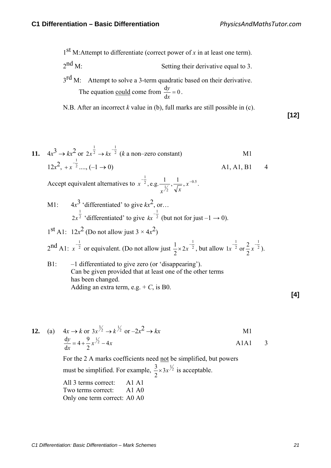$1<sup>st</sup>$  M:Attempt to differentiate (correct power of *x* in at least one term).

 $2<sup>nd</sup>$  M: Setting their derivative equal to 3.

 $3<sup>rd</sup>$  M: Attempt to solve a 3-term quadratic based on their derivative. The equation <u>could</u> come from  $\frac{dy}{dx} = 0$  $\frac{dy}{dx} = 0$ .

N.B. After an incorrect *k* value in (b), full marks are still possible in (c).

**[12]**

11. 
$$
4x^3 \to kx^2
$$
 or  $2x^{\frac{1}{2}} \to kx^{-\frac{1}{2}}$  (*k* a non-zero constant)  
\n12 $x^2$ ,  $+x^{-\frac{1}{2}}$ ...,  $(-1 \to 0)$    
\nA1, A1, B1 4

Accept equivalent alternatives to  $x^{-2}$ , e.g.  $\frac{1}{x^{-1}}$ ,  $\frac{1}{x^{-0.5}}$ <sup>2</sup>, e.g.  $\frac{1}{r^{1/2}}$  $-\frac{1}{2}$ , e.g.  $\frac{1}{1}$ ,  $\frac{1}{5}$ ,  $x^{-}$  $x^{\frac{1}{2}} \sqrt{x}$  $x^{-2}$ , e.g.  $\frac{1}{x}$ ,  $\frac{1}{x}$ ,  $x^{-0.5}$ .

M1:  $4x^3$  'differentiated' to give  $kx^2$ , or... 2 1  $2x^2$  'differentiated' to give  $kx^2$  $-\frac{1}{2}$ *kx* <sup>2</sup> (but not for just  $-1 \rightarrow 0$ ).

 $1<sup>st</sup>$  A1:  $12x<sup>2</sup>$  (Do not allow just  $3 \times 4x<sup>2</sup>$ )  $2^{\text{nd}}$  A1:  $x^{-\frac{1}{2}}$  $x^{2}$  or equivalent. (Do not allow just  $\frac{1}{2} \times 2x^{2}$ 1 2 2  $\frac{1}{2} \times 2x^{-\frac{1}{2}}$ , but allow  $1x^{-\frac{1}{2}}$  or  $\frac{2}{3}x^{-\frac{1}{2}}$ 1 2 1 2  $1x^{-\frac{1}{2}}$  or  $\frac{2}{3}x^{-\frac{1}{2}}$ ).

B1: –1 differentiated to give zero (or 'disappearing'). Can be given provided that at least one of the other terms has been changed. Adding an extra term, e.g.  $+ C$ , is B0.

**12.** (a)  $4x \to k \text{ or } 3x^{\frac{3}{2}} \to k^{\frac{1}{2}} \text{ or } -2x^2 \to kx$  M1  $x^{2}-4x$ *x*  $\frac{y}{-}$  = 4 +  $\frac{9}{2}x^{\frac{1}{2}}$  - 4 2  $4 + \frac{9}{2}$ d  $\frac{dy}{dx} = 4 + \frac{9}{2}x^{\frac{1}{2}} - 4x$  A1A1 3

> For the 2 A marks coefficients need not be simplified, but powers must be simplified. For example,  $\frac{3}{2} \times 3x^{1/2}$ 2  $\frac{3}{2} \times 3x^{\frac{1}{2}}$  is acceptable.

All 3 terms correct: A1 A1 Two terms correct: A1 A0 Only one term correct: A0 A0 **[4]**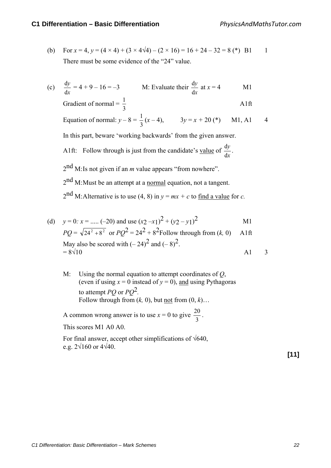- (b) For  $x = 4$ ,  $y = (4 \times 4) + (3 \times 4\sqrt{4}) (2 \times 16) = 16 + 24 32 = 8$  (\*) B1 1 There must be some evidence of the "24" value.
- (c) *x y* d  $\frac{dy}{dx} = 4 + 9 - 16 = -3$  M: Evaluate their *x y* d  $\frac{dy}{dx}$  at  $x = 4$  M1

Gradient of normal 
$$
=
$$
  $\frac{1}{3}$  A1 ft

Equation of normal:  $y - 8 =$ 3  $\frac{1}{2}(x-4)$ ,  $3y=x+20$  (\*) M1, A1 4

In this part, beware 'working backwards' from the given answer.

A1ft: Follow through is just from the candidate's value of *x y* d  $\frac{dy}{dx}$ .

2nd M: Is not given if an *m* value appears "from nowhere".

 $2<sup>nd</sup>$  M: Must be an attempt at a normal equation, not a tangent.

 $2<sup>nd</sup>$  M: Alternative is to use (4, 8) in  $y = mx + c$  to <u>find a value</u> for *c*.

(d) 
$$
y = 0
$$
:  $x =$ ..... (-20) and use  $(x_2-x_1)^2 + (y_2-y_1)^2$  M1  
\n $PQ = \sqrt{24^2 + 8^2}$  or  $PQ^2 = 24^2 + 8^2$  Follow through from  $(k, 0)$  A1ft  
\nMay also be scored with  $(-24)^2$  and  $(-8)^2$ .  
\n $= 8\sqrt{10}$  A1 3

M: Using the normal equation to attempt coordinates of *Q*, (even if using  $x = 0$  instead of  $y = 0$ ), and using Pythagoras to attempt *PQ* or *PQ*2*.*  Follow through from  $(k, 0)$ , but <u>not</u> from  $(0, k)$ …

A common wrong answer is to use  $x = 0$  to give  $\frac{20}{3}$ . This scores M1 A0 A0.

For final answer, accept other simplifications of  $\sqrt{640}$ , e.g.  $2\sqrt{160}$  or  $4\sqrt{40}$ .

**[11]**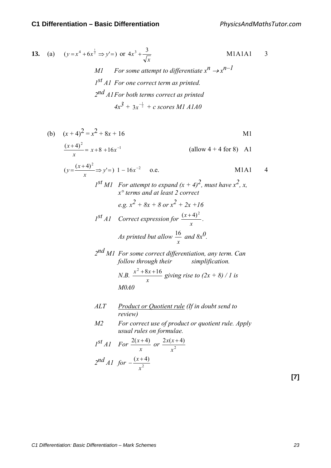13. (a) 
$$
(y = x^4 + 6x^{\frac{1}{2}} \Rightarrow y' =)
$$
 or  $4x^3 + \frac{3}{\sqrt{x}}$  M1A1A1 3  
\n*M1* For some attempt to differentiate  $x^n \rightarrow x^{n-1}$   
\n $1^{st} A1$  For one correct term as printed.  
\n $2^{nd} A1$  For both terms correct as printed  
\n $4x^3 + 3x^{-\frac{1}{2}} + c$  scores M1 A1A0

(b) 
$$
(x+4)^2 = x^2 + 8x + 16
$$
  
\n
$$
\frac{(x+4)^2}{x} = x+8+16x^{-1}
$$
 (allow 4 + 4 for 8) A1  
\n $(y = \frac{(x+4)^2}{x} \Rightarrow y'=)$  1 – 16x<sup>-2</sup> o.e. M1A1 4  
\n $I^{st} M1$  For attempt to expand  $(x + 4)^2$ , must have  $x^2$ , x,  
\n $x^{\circ}$  terms and at least 2 correct  
\n $e.g. x^2 + 8x + 8$  or  $x^2 + 2x + 16$   
\n $I^{st} A1$  Correct expression for  $\frac{(x+4)^2}{x}$ .  
\nAs printed but allow  $\frac{16}{x}$  and  $8x^0$ .  
\n $2^{nd} M1$  For some correct differentiation, any term. Can  
\nfollow through their simplification.  
\nN.B.  $\frac{x^2 + 8x + 16}{x}$  giving rise to  $(2x + 8)/1$  is  
\nM0A0  
\nALT Product or Quotient rule (If in doubt send to  
\nreview)  
\nM2 For correct use of product or quotient rule. Apply  
\nusual rules on formulae.  
\n $I^{st} A1$  For  $\frac{2(x+4)}{x}$  or  $\frac{2x(x+4)}{x^2}$ 

$$
2^{nd} A1 \text{ for } -\frac{(x+4)}{x^2}
$$

**[7]**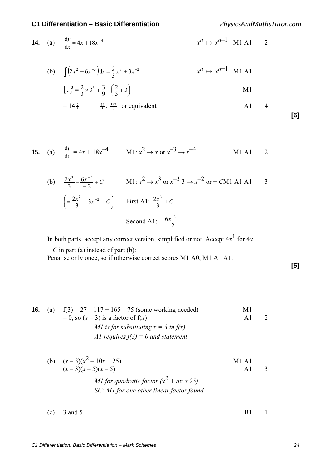*PhysicsAndMathsTutor.com*

**14.** (a) 
$$
\frac{dy}{dx} = 4x + 18x^{-4}
$$
  $x^n \mapsto x^{n-1} M1 A1$  2

(b) 
$$
\int (2x^2 - 6x^{-3}) dx = \frac{2}{3}x^3 + 3x^{-2}
$$
  $x^n \mapsto x^{n+1}$  M1 A1

$$
[\ldots]_1^3 = \frac{2}{3} \times 3^3 + \frac{3}{9} - \left(\frac{2}{3} + 3\right)
$$
 M1

$$
= 14\frac{2}{3} \qquad \frac{44}{3}, \frac{132}{9} \text{ or equivalent} \qquad \text{A1} \qquad 4
$$

$$
[6]
$$

**15.** (a) 
$$
\frac{dy}{dx} = 4x + 18x^{-4}
$$
   
M1:  $x^2 \to x$  or  $x^{-3} \to x^{-4}$    
M1 A1 2

(b) 
$$
\frac{2x^3}{3} - \frac{6x^{-2}}{-2} + C
$$
 
$$
M1: x^2 \to x^3 \text{ or } x^{-3} \to x^{-2} \text{ or } + C M 1 \text{ A} 1 \text{ A} 1
$$
  
\n
$$
\left(=\frac{2x^3}{3} + 3x^{-2} + C\right)
$$
 First A1:  $\frac{2x^3}{3} + C$   
\nSecond A1:  $-\frac{6x^{-2}}{-2}$ 

In both parts, accept any correct version, simplified or not. Accept  $4x<sup>1</sup>$  for  $4x$ .

 $+ C$  in part (a) instead of part (b):

Penalise only once, so if otherwise correct scores M1 A0, M1 A1 A1.

| I<br>ï<br>×<br>۰. |
|-------------------|
|-------------------|

# **16.** (a)  $f(3) = 27 - 117 + 165 - 75$  (some working needed) M1  $= 0$ , so  $(x - 3)$  is a factor of  $f(x)$  A1 2 *M1 is for substituting x = 3 in f(x) A1 requires f(3) = 0 and statement*

- (b)  $(x-3)(x^2-10x+25)$  M1 A1  $(x-3)(x-5)(x-5)$  A1 3 *M1 for quadratic factor*  $(x^2 + ax \pm 25)$ *SC: M1 for one other linear factor found*
- (c)  $3 \text{ and } 5$  B1 1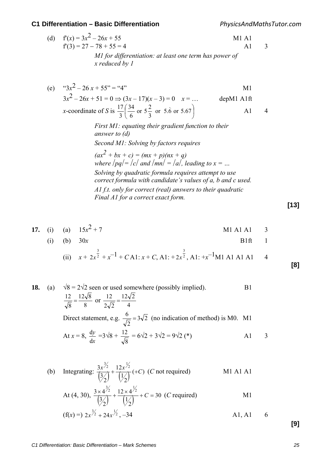*PhysicsAndMathsTutor.com*

| (d) $f'(x) = 3x^2 - 26x + 55$                                            | M1 A1 |  |
|--------------------------------------------------------------------------|-------|--|
| $f'(3) = 27 - 78 + 55 = 4$                                               | A 1   |  |
| MI for differentiation: at least one term has power of<br>x reduced by 1 |       |  |

(e) "
$$
3x^2 - 26x + 55
$$
" = "4"  
\n $3x^2 - 26x + 51 = 0 \Rightarrow (3x - 17)(x - 3) = 0$   $x = ...$  depM1 A1ft  
\nx-coordinate of S is  $\frac{17}{3} \left( \frac{34}{6} \text{ or } 5\frac{2}{3} \text{ or } 5.6 \text{ or } 5.67 \right)$  A1 4  
\nFirst M1: equating their gradient function to their  
\nanswer to (d)  
\nSecond M1: Solving by factors requires

 $(ax^2 + bx + c) = (mx + p)(nx + q)$ *where*  $|pq| = |c|$  *and*  $|mn| = |a|$ *, leading to*  $x = ...$ *Solving by quadratic formula requires attempt to use correct formula with candidate's values of a, b and c used. A1 f.t. only for correct (real) answers to their quadratic Final A1 for a correct exact form.* 

**[13]**

**[8]**

**17.** (i) (a) 
$$
15x^2 + 7
$$
   
M1 A1 A1 3

(i) (b) 
$$
30x
$$
 B1ft 1

(ii) 
$$
x + 2x^{\frac{3}{2}} + x^{-1} + CA1
$$
:  $x + C$ , A1:  $+ 2x^{\frac{3}{2}}$ , A1:  $+ x^{-1}M1$  A1 A1 A1 4

18. (a) 
$$
\sqrt{8} = 2\sqrt{2}
$$
 seen or used somewhere (possibly implied).  
\n
$$
\frac{12}{\sqrt{8}} = \frac{12\sqrt{8}}{8}
$$
 or  $\frac{12}{2\sqrt{2}} = \frac{12\sqrt{2}}{4}$   
\nDirect statement, e.g.  $\frac{6}{\sqrt{2}} = 3\sqrt{2}$  (no indication of method) is M0. M1  
\nAt  $x = 8$ ,  $\frac{dy}{dx} = 3\sqrt{8} + \frac{12}{\sqrt{8}} = 6\sqrt{2} + 3\sqrt{2} = 9\sqrt{2}$  (\*)\nA1 3

(b) Integrating: 
$$
\frac{3x^{\frac{3}{2}}}{(\frac{3}{2})} + \frac{12x^{\frac{1}{2}}}{(\frac{1}{2})} (+C)
$$
 (*C* not required)  
At (4, 30),  $\frac{3 \times 4^{\frac{3}{2}}}{(\frac{3}{2})} + \frac{12 \times 4^{\frac{1}{2}}}{(\frac{1}{2})} + C = 30$  (*C* required)  
M1

$$
(f(x) =) 2x^{\frac{3}{2}} + 24x^{\frac{1}{2}}, -34 \qquad \qquad \text{A1, A1} \qquad 6
$$

**[9]**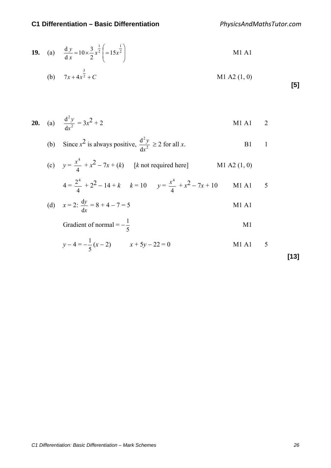*PhysicsAndMathsTutor.com*

**19.** (a) 
$$
\frac{dy}{dx} = 10 \times \frac{3}{2} x^{\frac{1}{2}} \left( = 15x^{\frac{1}{2}} \right)
$$
 M1 A1

(b) 
$$
7x + 4x^{\frac{5}{2}} + C
$$
 M1 A2 (1, 0)

**20.** (a) 
$$
\frac{d^2 y}{dx^2} = 3x^2 + 2
$$
 M1 A1 2

(b) Since 
$$
x^2
$$
 is always positive,  $\frac{d^2y}{dx^2} \ge 2$  for all x.

(c) 
$$
y = \frac{x^4}{4} + x^2 - 7x + (k)
$$
 [*k* not required here] M1 A2 (1, 0)

$$
4 = \frac{2^4}{4} + 2^2 - 14 + k \qquad k = 10 \qquad y = \frac{x^4}{4} + x^2 - 7x + 10 \qquad \text{M1 A1} \qquad 5
$$

(d) 
$$
x = 2: \frac{dy}{dx} = 8 + 4 - 7 = 5
$$
 M1 A1

Gradient of normal 
$$
= -\frac{1}{5}
$$
 M1

$$
y - 4 = -\frac{1}{5}(x - 2) \qquad x + 5y - 22 = 0 \qquad \text{M1 A1} \qquad 5
$$

**[13]**

**[5]**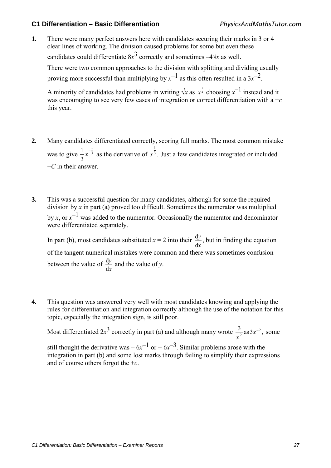**1.** There were many perfect answers here with candidates securing their marks in 3 or 4 clear lines of working. The division caused problems for some but even these candidates could differentiate  $8x^3$  correctly and sometimes  $-4\sqrt{x}$  as well. There were two common approaches to the division with splitting and dividing usually proving more successful than multiplying by  $x^{-1}$  as this often resulted in a  $3x^{-2}$ .

A minority of candidates had problems in writing  $\sqrt{x}$  as  $x^{\frac{1}{2}}$  choosing  $x^{-1}$  instead and it was encouraging to see very few cases of integration or correct differentiation with a +*c* this year.

- **2.** Many candidates differentiated correctly, scoring full marks. The most common mistake was to give  $\frac{1}{2}x^{-3}$  $\frac{1}{2}$ 3  $\frac{1}{2}x^{-\frac{1}{3}}$  as the derivative of  $x^{\frac{1}{3}}$ . 1  $x<sup>3</sup>$ . Just a few candidates integrated or included +*C* in their answer.
- **3.** This was a successful question for many candidates, although for some the required division by *x* in part (a) proved too difficult. Sometimes the numerator was multiplied by *x*, or  $x^{-1}$  was added to the numerator. Occasionally the numerator and denominator were differentiated separately.

In part (b), most candidates substituted  $x = 2$  into their *x y* d  $\frac{dy}{dx}$ , but in finding the equation of the tangent numerical mistakes were common and there was sometimes confusion between the value of *x y* d  $\frac{dy}{dx}$  and the value of *y*.

**4.** This question was answered very well with most candidates knowing and applying the rules for differentiation and integration correctly although the use of the notation for this topic, especially the integration sign, is still poor.

Most differentiated  $2x^3$  correctly in part (a) and although many wrote  $\frac{3}{x^2}$  as  $3x^{-2}$ , *x* some

still thought the derivative was –  $6x^{-1}$  or +  $6x^{-3}$ . Similar problems arose with the integration in part (b) and some lost marks through failing to simplify their expressions and of course others forgot the +*c*.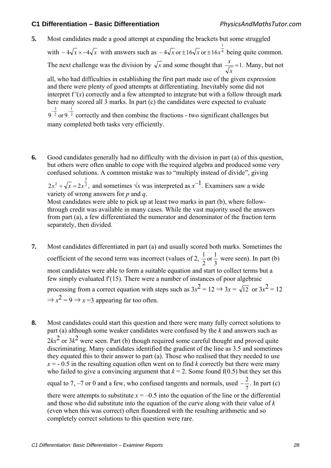**5.** Most candidates made a good attempt at expanding the brackets but some struggled

with  $-4\sqrt{x} \times -4\sqrt{x}$  with answers such as  $-4\sqrt{x}$  or  $\pm 16\sqrt{x}$  or  $\pm 16x^4$ 1  $-4\sqrt{x}$  or  $\pm 16\sqrt{x}$  or  $\pm 16x^4$  being quite common.

The next challenge was the division by  $\sqrt{x}$  and some thought that  $\frac{x}{x} = 1$ . *x*  $\frac{x}{\sqrt{n}} = 1$ . Many, but not

all, who had difficulties in establishing the first part made use of the given expression and there were plenty of good attempts at differentiating. Inevitably some did not interpret  $f'(x)$  correctly and a few attempted to integrate but with a follow through mark here many scored all 3 marks. In part (c) the candidates were expected to evaluate 2 1 2 3  $9^{-\frac{3}{2}}$  or  $9^{-\frac{1}{2}}$  correctly and then combine the fractions - two significant challenges but

many completed both tasks very efficiently.

**6.** Good candidates generally had no difficulty with the division in part (a) of this question, but others were often unable to cope with the required algebra and produced some very confused solutions. A common mistake was to "multiply instead of divide", giving

 $2x^2 \div \sqrt{x} = 2x^2$ ,  $x^2 \div \sqrt{x} = 2x^{\frac{5}{2}}$ , and sometimes  $\sqrt{x}$  was interpreted as  $x^{-1}$ . Examiners saw a wide variety of wrong answers for *p* and *q*.

Most candidates were able to pick up at least two marks in part (b), where followthrough credit was available in many cases. While the vast majority used the answers from part (a), a few differentiated the numerator and denominator of the fraction term separately, then divided.

- **7.** Most candidates differentiated in part (a) and usually scored both marks. Sometimes the coefficient of the second term was incorrect (values of 2,  $\frac{1}{2}$  or  $\frac{1}{3}$ 2  $\frac{1}{2}$  or  $\frac{1}{2}$  were seen). In part (b) most candidates were able to form a suitable equation and start to collect terms but a few simply evaluated f′(15). There were a number of instances of poor algebraic processing from a correct equation with steps such as  $3x^2 = 12 \Rightarrow 3x = \sqrt{12}$  or  $3x^2 = 12$  $\Rightarrow$   $x^2 = 9 \Rightarrow x = 3$  appearing far too often.
- **8.** Most candidates could start this question and there were many fully correct solutions to part (a) although some weaker candidates were confused by the *k* and answers such as  $2kx^2$  or  $3k^2$  were seen. Part (b) though required some careful thought and proved quite discriminating. Many candidates identified the gradient of the line as 3.5 and sometimes they equated this to their answer to part (a). Those who realised that they needed to use  $x = -0.5$  in the resulting equation often went on to find *k* correctly but there were many who failed to give a convincing argument that  $k = 2$ . Some found f(0.5) but they set this equal to 7, –7 or 0 and a few, who confused tangents and normals, used  $-\frac{2}{7}$ . In part (c) there were attempts to substitute  $x = -0.5$  into the equation of the line or the differential and those who did substitute into the equation of the curve along with their value of *k* (even when this was correct) often floundered with the resulting arithmetic and so

completely correct solutions to this question were rare.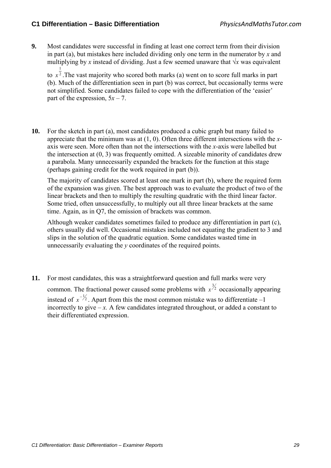**9.** Most candidates were successful in finding at least one correct term from their division in part (a), but mistakes here included dividing only one term in the numerator by *x* and multiplying by *x* instead of dividing. Just a few seemed unaware that  $\sqrt{x}$  was equivalent

to  $x<sup>2</sup>$ . The vast majority who scored both marks (a) went on to score full marks in part 1 (b). Much of the differentiation seen in part (b) was correct, but occasionally terms were not simplified. Some candidates failed to cope with the differentiation of the 'easier' part of the expression,  $5x - 7$ .

**10.** For the sketch in part (a), most candidates produced a cubic graph but many failed to appreciate that the minimum was at (1, 0). Often three different intersections with the *x*axis were seen. More often than not the intersections with the *x*-axis were labelled but the intersection at (0, 3) was frequently omitted. A sizeable minority of candidates drew a parabola. Many unnecessarily expanded the brackets for the function at this stage (perhaps gaining credit for the work required in part (b)).

 The majority of candidates scored at least one mark in part (b), where the required form of the expansion was given. The best approach was to evaluate the product of two of the linear brackets and then to multiply the resulting quadratic with the third linear factor. Some tried, often unsuccessfully, to multiply out all three linear brackets at the same time. Again, as in Q7, the omission of brackets was common.

 Although weaker candidates sometimes failed to produce any differentiation in part (c), others usually did well. Occasional mistakes included not equating the gradient to 3 and slips in the solution of the quadratic equation. Some candidates wasted time in unnecessarily evaluating the *y* coordinates of the required points.

**11.** For most candidates, this was a straightforward question and full marks were very common. The fractional power caused some problems with  $x^{\frac{3}{2}}$  occasionally appearing instead of  $x^{-1/2}$ . Apart from this the most common mistake was to differentiate –1 incorrectly to give  $-x$ . A few candidates integrated throughout, or added a constant to their differentiated expression.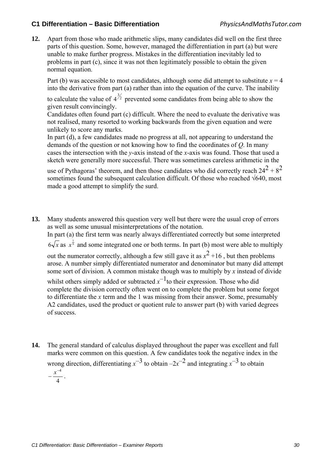**12.** Apart from those who made arithmetic slips, many candidates did well on the first three parts of this question. Some, however, managed the differentiation in part (a) but were unable to make further progress. Mistakes in the differentiation inevitably led to problems in part (c), since it was not then legitimately possible to obtain the given normal equation.

Part (b) was accessible to most candidates, although some did attempt to substitute  $x = 4$ into the derivative from part (a) rather than into the equation of the curve. The inability

to calculate the value of  $4^{3/2}$  prevented some candidates from being able to show the given result convincingly.

Candidates often found part (c) difficult. Where the need to evaluate the derivative was not realised, many resorted to working backwards from the given equation and were unlikely to score any marks.

In part (d), a few candidates made no progress at all, not appearing to understand the demands of the question or not knowing how to find the coordinates of *Q*. In many cases the intersection with the *y*-axis instead of the *x*-axis was found. Those that used a sketch were generally more successful. There was sometimes careless arithmetic in the

use of Pythagoras' theorem, and then those candidates who did correctly reach  $24^2 + 8^2$ sometimes found the subsequent calculation difficult. Of those who reached √640, most made a good attempt to simplify the surd.

**13.** Many students answered this question very well but there were the usual crop of errors as well as some unusual misinterpretations of the notation.

In part (a) the first term was nearly always differentiated correctly but some interpreted

 $6\sqrt{x}$  as  $x^{\frac{1}{6}}$  and some integrated one or both terms. In part (b) most were able to multiply

out the numerator correctly, although a few still gave it as  $x^2 + 16$ , but then problems arose. A number simply differentiated numerator and denominator but many did attempt some sort of division. A common mistake though was to multiply by *x* instead of divide

whilst others simply added or subtracted  $x^{-1}$  to their expression. Those who did complete the division correctly often went on to complete the problem but some forgot to differentiate the *x* term and the 1 was missing from their answer. Some, presumably A2 candidates, used the product or quotient rule to answer part (b) with varied degrees of success.

**14.** The general standard of calculus displayed throughout the paper was excellent and full marks were common on this question. A few candidates took the negative index in the wrong direction, differentiating  $x^{-3}$  to obtain  $-2x^{-2}$  and integrating  $x^{-3}$  to obtain  $-\frac{x^{-4}}{4}$ .

<sup>4</sup>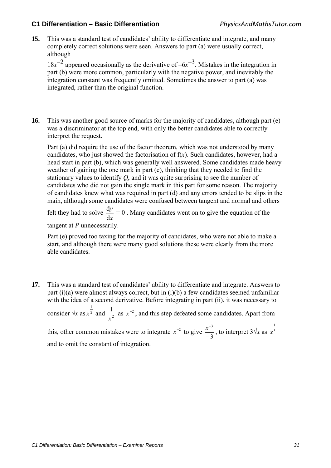**15.** This was a standard test of candidates' ability to differentiate and integrate, and many completely correct solutions were seen. Answers to part (a) were usually correct, although

 $18x^{-2}$  appeared occasionally as the derivative of  $-6x^{-3}$ . Mistakes in the integration in part (b) were more common, particularly with the negative power, and inevitably the integration constant was frequently omitted. Sometimes the answer to part (a) was integrated, rather than the original function.

**16.** This was another good source of marks for the majority of candidates, although part (e) was a discriminator at the top end, with only the better candidates able to correctly interpret the request.

 Part (a) did require the use of the factor theorem, which was not understood by many candidates, who just showed the factorisation of  $f(x)$ . Such candidates, however, had a head start in part (b), which was generally well answered. Some candidates made heavy weather of gaining the one mark in part (c), thinking that they needed to find the stationary values to identify *Q*, and it was quite surprising to see the number of candidates who did not gain the single mark in this part for some reason. The majority of candidates knew what was required in part (d) and any errors tended to be slips in the main, although some candidates were confused between tangent and normal and others felt they had to solve *y*  $\frac{dy}{dx} = 0$ . Many candidates went on to give the equation of the

*x* d tangent at *P* unnecessarily.

Part (e) proved too taxing for the majority of candidates, who were not able to make a start, and although there were many good solutions these were clearly from the more able candidates.

**17.** This was a standard test of candidates' ability to differentiate and integrate. Answers to part (i)(a) were almost always correct, but in (i)(b) a few candidates seemed unfamiliar with the idea of a second derivative. Before integrating in part (ii), it was necessary to consider  $\sqrt{x}$  as  $x^2$ 1  $x^{\frac{1}{2}}$  and  $\frac{1}{x^2}$ *x* as  $x^{-2}$ , and this step defeated some candidates. Apart from this, other common mistakes were to integrate  $x^{-2}$  to give  $\frac{x^{-3}}{-3}$  $\int \frac{x^{-3}}{-3}$ , to interpret 3 $\sqrt{x}$  as  $x^{\frac{1}{3}}$ *x* and to omit the constant of integration.